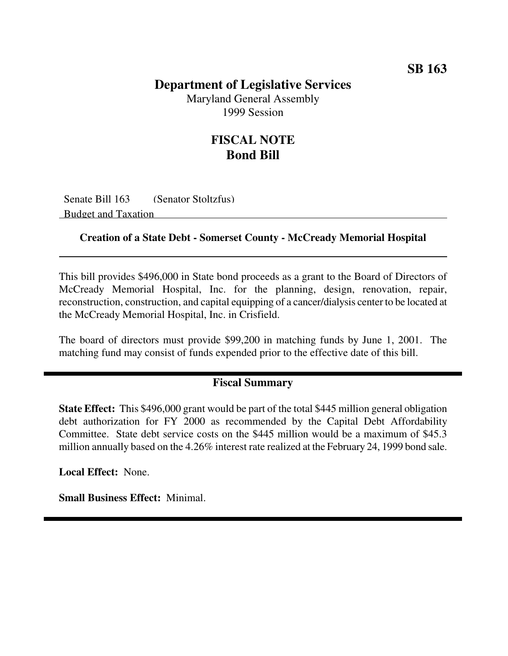## **Department of Legislative Services**

Maryland General Assembly 1999 Session

## **FISCAL NOTE Bond Bill**

Senate Bill 163 (Senator Stoltzfus) Budget and Taxation

#### **Creation of a State Debt - Somerset County - McCready Memorial Hospital**

This bill provides \$496,000 in State bond proceeds as a grant to the Board of Directors of McCready Memorial Hospital, Inc. for the planning, design, renovation, repair, reconstruction, construction, and capital equipping of a cancer/dialysis center to be located at the McCready Memorial Hospital, Inc. in Crisfield.

The board of directors must provide \$99,200 in matching funds by June 1, 2001. The matching fund may consist of funds expended prior to the effective date of this bill.

### **Fiscal Summary**

**State Effect:** This \$496,000 grant would be part of the total \$445 million general obligation debt authorization for FY 2000 as recommended by the Capital Debt Affordability Committee. State debt service costs on the \$445 million would be a maximum of \$45.3 million annually based on the 4.26% interest rate realized at the February 24, 1999 bond sale.

**Local Effect:** None.

**Small Business Effect:** Minimal.